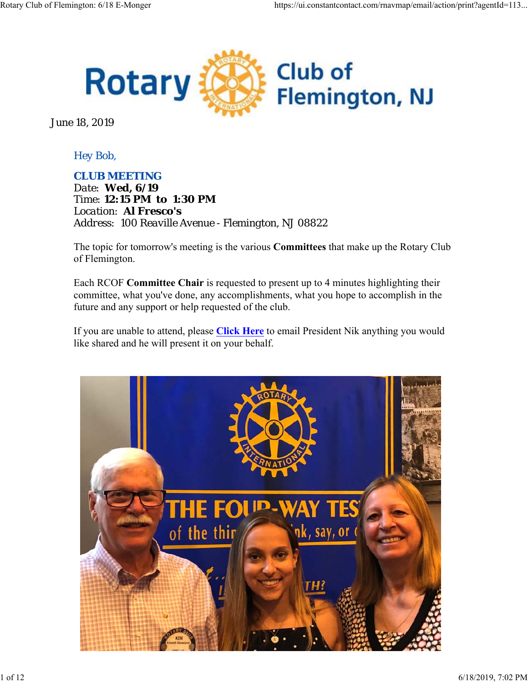

June 18, 2019

## *Hey Bob,*

#### *CLUB MEETING*

*Date: Wed, 6/19 Time: 12:15 PM to 1:30 PM Location: Al Fresco's Address: 100 Reaville Avenue - Flemington, NJ 08822*

The topic for tomorrow's meeting is the various **Committees** that make up the Rotary Club of Flemington.

Each RCOF **Committee Chair** is requested to present up to 4 minutes highlighting their committee, what you've done, any accomplishments, what you hope to accomplish in the future and any support or help requested of the club.

If you are unable to attend, please **Click Here** to email President Nik anything you would like shared and he will present it on your behalf.

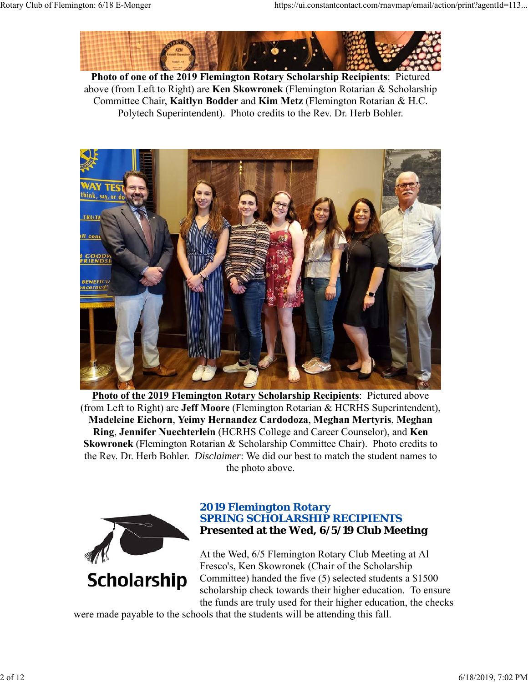

**Photo of one of the 2019 Flemington Rotary Scholarship Recipients**: Pictured above (from Left to Right) are **Ken Skowronek** (Flemington Rotarian & Scholarship Committee Chair, **Kaitlyn Bodder** and **Kim Metz** (Flemington Rotarian & H.C. Polytech Superintendent). Photo credits to the Rev. Dr. Herb Bohler.



**Photo of the 2019 Flemington Rotary Scholarship Recipients**: Pictured above (from Left to Right) are **Jeff Moore** (Flemington Rotarian & HCRHS Superintendent), **Madeleine Eichorn**, **Yeimy Hernandez Cardodoza**, **Meghan Mertyris**, **Meghan Ring**, **Jennifer Nuechterlein** (HCRHS College and Career Counselor), and **Ken Skowronek** (Flemington Rotarian & Scholarship Committee Chair). Photo credits to the Rev. Dr. Herb Bohler. *Disclaimer*: We did our best to match the student names to the photo above.



### *2019 Flemington Rotary SPRING SCHOLARSHIP RECIPIENTS* **Presented at the Wed, 6/5/19 Club Meeting**

At the Wed, 6/5 Flemington Rotary Club Meeting at Al Fresco's, Ken Skowronek (Chair of the Scholarship Committee) handed the five (5) selected students a \$1500 scholarship check towards their higher education. To ensure the funds are truly used for their higher education, the checks

were made payable to the schools that the students will be attending this fall.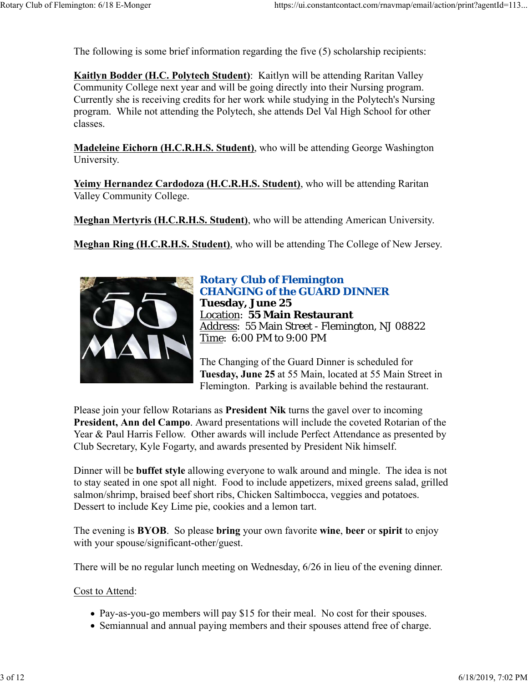The following is some brief information regarding the five (5) scholarship recipients:

**Kaitlyn Bodder (H.C. Polytech Student)**: Kaitlyn will be attending Raritan Valley Community College next year and will be going directly into their Nursing program. Currently she is receiving credits for her work while studying in the Polytech's Nursing program. While not attending the Polytech, she attends Del Val High School for other classes.

**Madeleine Eichorn (H.C.R.H.S. Student)**, who will be attending George Washington University.

**Yeimy Hernandez Cardodoza (H.C.R.H.S. Student)**, who will be attending Raritan Valley Community College.

**Meghan Mertyris (H.C.R.H.S. Student)**, who will be attending American University.

**Meghan Ring (H.C.R.H.S. Student)**, who will be attending The College of New Jersey.



## *Rotary Club of Flemington CHANGING of the GUARD DINNER* **Tuesday, June 25** Location: **55 Main Restaurant** Address: 55 Main Street - Flemington, NJ 08822 Time: 6:00 PM to 9:00 PM

The Changing of the Guard Dinner is scheduled for **Tuesday, June 25** at 55 Main, located at 55 Main Street in Flemington. Parking is available behind the restaurant.

Please join your fellow Rotarians as **President Nik** turns the gavel over to incoming **President, Ann del Campo**. Award presentations will include the coveted Rotarian of the Year & Paul Harris Fellow. Other awards will include Perfect Attendance as presented by Club Secretary, Kyle Fogarty, and awards presented by President Nik himself.

Dinner will be **buffet style** allowing everyone to walk around and mingle. The idea is not to stay seated in one spot all night. Food to include appetizers, mixed greens salad, grilled salmon/shrimp, braised beef short ribs, Chicken Saltimbocca, veggies and potatoes. Dessert to include Key Lime pie, cookies and a lemon tart.

The evening is **BYOB**. So please **bring** your own favorite **wine**, **beer** or **spirit** to enjoy with your spouse/significant-other/guest.

There will be no regular lunch meeting on Wednesday, 6/26 in lieu of the evening dinner.

#### Cost to Attend:

- Pay-as-you-go members will pay \$15 for their meal. No cost for their spouses.
- Semiannual and annual paying members and their spouses attend free of charge.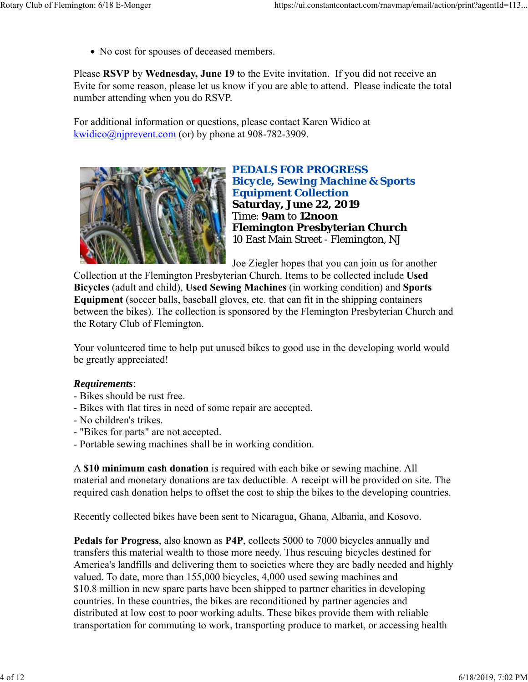No cost for spouses of deceased members.

Please **RSVP** by **Wednesday, June 19** to the Evite invitation. If you did not receive an Evite for some reason, please let us know if you are able to attend. Please indicate the total number attending when you do RSVP.

For additional information or questions, please contact Karen Widico at kwidico@njprevent.com (or) by phone at 908-782-3909.



*PEDALS FOR PROGRESS Bicycle, Sewing Machine & Sports Equipment Collection* **Saturday, June 22, 2019** Time: **9am** to **12noon Flemington Presbyterian Church** 10 East Main Street - Flemington, NJ

Joe Ziegler hopes that you can join us for another

Collection at the Flemington Presbyterian Church. Items to be collected include **Used Bicycles** (adult and child), **Used Sewing Machines** (in working condition) and **Sports Equipment** (soccer balls, baseball gloves, etc. that can fit in the shipping containers between the bikes). The collection is sponsored by the Flemington Presbyterian Church and the Rotary Club of Flemington.

Your volunteered time to help put unused bikes to good use in the developing world would be greatly appreciated!

#### *Requirements*:

- Bikes should be rust free.
- Bikes with flat tires in need of some repair are accepted.
- No children's trikes.
- "Bikes for parts" are not accepted.
- Portable sewing machines shall be in working condition.

A **\$10 minimum cash donation** is required with each bike or sewing machine. All material and monetary donations are tax deductible. A receipt will be provided on site. The required cash donation helps to offset the cost to ship the bikes to the developing countries.

Recently collected bikes have been sent to Nicaragua, Ghana, Albania, and Kosovo.

**Pedals for Progress**, also known as **P4P**, collects 5000 to 7000 bicycles annually and transfers this material wealth to those more needy. Thus rescuing bicycles destined for America's landfills and delivering them to societies where they are badly needed and highly valued. To date, more than 155,000 bicycles, 4,000 used sewing machines and \$10.8 million in new spare parts have been shipped to partner charities in developing countries. In these countries, the bikes are reconditioned by partner agencies and distributed at low cost to poor working adults. These bikes provide them with reliable transportation for commuting to work, transporting produce to market, or accessing health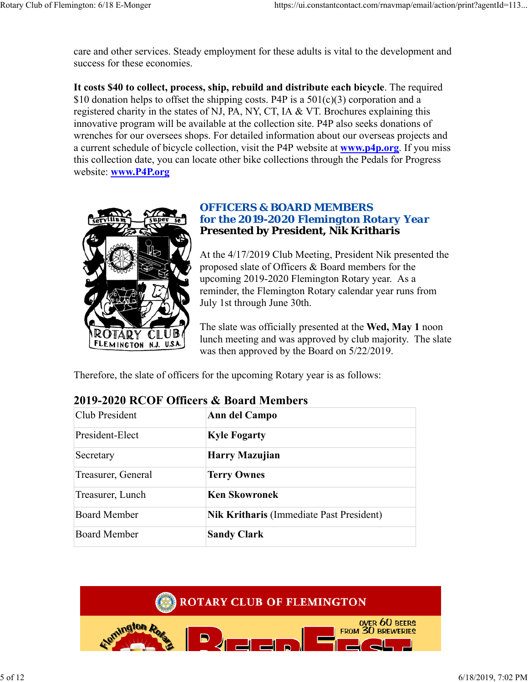care and other services. Steady employment for these adults is vital to the development and success for these economies.

**It costs \$40 to collect, process, ship, rebuild and distribute each bicycle**. The required \$10 donation helps to offset the shipping costs. P4P is a  $501(c)(3)$  corporation and a registered charity in the states of NJ, PA, NY, CT, IA & VT. Brochures explaining this innovative program will be available at the collection site. P4P also seeks donations of wrenches for our oversees shops. For detailed information about our overseas projects and a current schedule of bicycle collection, visit the P4P website at **www.p4p.org**. If you miss this collection date, you can locate other bike collections through the Pedals for Progress website: **www.P4P.org**



### *OFFICERS & BOARD MEMBERS for the 2019-2020 Flemington Rotary Year* **Presented by President, Nik Kritharis**

At the 4/17/2019 Club Meeting, President Nik presented the proposed slate of Officers & Board members for the upcoming 2019-2020 Flemington Rotary year. As a reminder, the Flemington Rotary calendar year runs from July 1st through June 30th.

The slate was officially presented at the **Wed, May 1** noon lunch meeting and was approved by club majority. The slate was then approved by the Board on 5/22/2019.

Therefore, the slate of officers for the upcoming Rotary year is as follows:

| Club President      | Ann del Campo                                   |  |  |
|---------------------|-------------------------------------------------|--|--|
| President-Elect     | <b>Kyle Fogarty</b>                             |  |  |
| Secretary           | Harry Mazujian                                  |  |  |
| Treasurer, General  | <b>Terry Ownes</b>                              |  |  |
| Treasurer, Lunch    | <b>Ken Skowronek</b>                            |  |  |
| <b>Board Member</b> | <b>Nik Kritharis (Immediate Past President)</b> |  |  |
| <b>Board Member</b> | <b>Sandy Clark</b>                              |  |  |

# **2019-2020 RCOF Officers & Board Members**



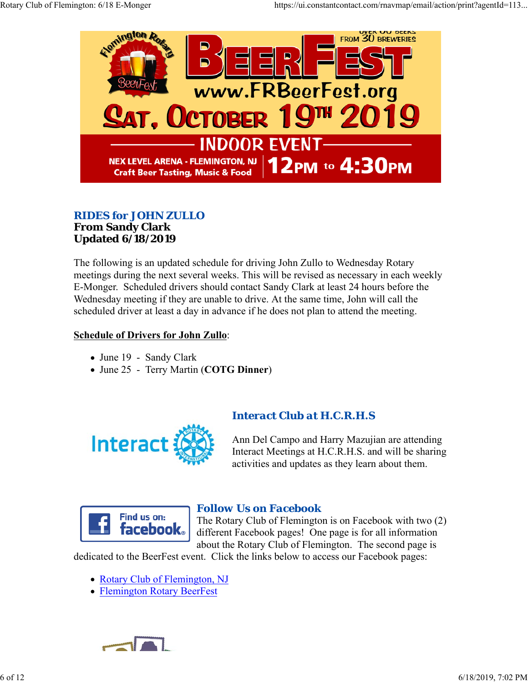

### *RIDES for JOHN ZULLO* **From Sandy Clark Updated 6/18/2019**

The following is an updated schedule for driving John Zullo to Wednesday Rotary meetings during the next several weeks. This will be revised as necessary in each weekly E-Monger. Scheduled drivers should contact Sandy Clark at least 24 hours before the Wednesday meeting if they are unable to drive. At the same time, John will call the scheduled driver at least a day in advance if he does not plan to attend the meeting.

#### **Schedule of Drivers for John Zullo**:

- June 19 Sandy Clark
- June 25 Terry Martin (**COTG Dinner**)



## *Interact Club at H.C.R.H.S*

Ann Del Campo and Harry Mazujian are attending Interact Meetings at H.C.R.H.S. and will be sharing activities and updates as they learn about them.



## *Follow Us on Facebook*

The Rotary Club of Flemington is on Facebook with two (2) different Facebook pages! One page is for all information about the Rotary Club of Flemington. The second page is

dedicated to the BeerFest event. Click the links below to access our Facebook pages:

- Rotary Club of Flemington, NJ
- Flemington Rotary BeerFest

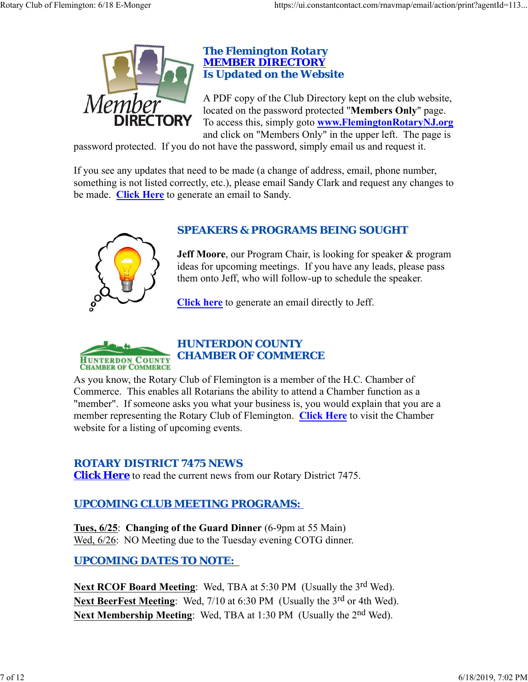

#### *The Flemington Rotary MEMBER DIRECTORY Is Updated on the Website*

A PDF copy of the Club Directory kept on the club website, located on the password protected "**Members Only**" page. To access this, simply goto **www.FlemingtonRotaryNJ.org** and click on "Members Only" in the upper left. The page is

password protected. If you do not have the password, simply email us and request it.

If you see any updates that need to be made (a change of address, email, phone number, something is not listed correctly, etc.), please email Sandy Clark and request any changes to be made. **Click Here** to generate an email to Sandy.



# *SPEAKERS & PROGRAMS BEING SOUGHT*

**Jeff Moore**, our Program Chair, is looking for speaker & program ideas for upcoming meetings. If you have any leads, please pass them onto Jeff, who will follow-up to schedule the speaker.

**Click here** to generate an email directly to Jeff.



# *HUNTERDON COUNTY CHAMBER OF COMMERCE*

As you know, the Rotary Club of Flemington is a member of the H.C. Chamber of Commerce. This enables all Rotarians the ability to attend a Chamber function as a "member". If someone asks you what your business is, you would explain that you are a member representing the Rotary Club of Flemington. **Click Here** to visit the Chamber website for a listing of upcoming events.

### *ROTARY DISTRICT 7475 NEWS*

**Click Here** to read the current news from our Rotary District 7475.

# *UPCOMING CLUB MEETING PROGRAMS:*

**Tues, 6/25**: **Changing of the Guard Dinner** (6-9pm at 55 Main) Wed,  $6/26$ : NO Meeting due to the Tuesday evening COTG dinner.

# *UPCOMING DATES TO NOTE:*

Next RCOF Board Meeting: Wed, TBA at 5:30 PM (Usually the 3<sup>rd</sup> Wed). **Next BeerFest Meeting**: Wed, 7/10 at 6:30 PM (Usually the 3<sup>rd</sup> or 4th Wed). Next Membership Meeting: Wed, TBA at 1:30 PM (Usually the 2<sup>nd</sup> Wed).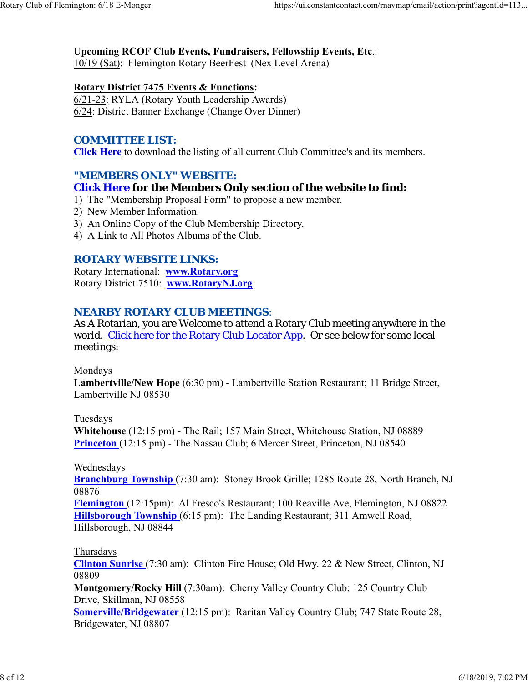#### **Upcoming RCOF Club Events, Fundraisers, Fellowship Events, Etc**.:

10/19 (Sat): Flemington Rotary BeerFest (Nex Level Arena)

#### **Rotary District 7475 Events & Functions:**

6/21-23: RYLA (Rotary Youth Leadership Awards) 6/24: District Banner Exchange (Change Over Dinner)

#### *COMMITTEE LIST:*

**Click Here** to download the listing of all current Club Committee's and its members.

#### *"MEMBERS ONLY" WEBSITE:*

#### **Click Here for the Members Only section of the website to find:**

- 1) The "Membership Proposal Form" to propose a new member.
- 2) New Member Information.
- 3) An Online Copy of the Club Membership Directory.
- 4) A Link to All Photos Albums of the Club.

#### *ROTARY WEBSITE LINKS:*

Rotary International: **www.Rotary.org** Rotary District 7510: **www.RotaryNJ.org**

#### *NEARBY ROTARY CLUB MEETINGS:*

As A Rotarian, you are Welcome to attend a Rotary Club meeting anywhere in the world. Click here for the Rotary Club Locator App. Or see below for some local meetings:

#### Mondays

**Lambertville/New Hope** (6:30 pm) - Lambertville Station Restaurant; 11 Bridge Street, Lambertville NJ 08530

#### Tuesdays

**Whitehouse** (12:15 pm) - The Rail; 157 Main Street, Whitehouse Station, NJ 08889 **Princeton** (12:15 pm) - The Nassau Club; 6 Mercer Street, Princeton, NJ 08540

#### Wednesdays

**Branchburg Township** (7:30 am): Stoney Brook Grille; 1285 Route 28, North Branch, NJ 08876

**Flemington** (12:15pm): Al Fresco's Restaurant; 100 Reaville Ave, Flemington, NJ 08822 **Hillsborough Township** (6:15 pm): The Landing Restaurant; 311 Amwell Road, Hillsborough, NJ 08844

#### Thursdays

**Clinton Sunrise** (7:30 am): Clinton Fire House; Old Hwy. 22 & New Street, Clinton, NJ 08809

**Montgomery/Rocky Hill** (7:30am): Cherry Valley Country Club; 125 Country Club Drive, Skillman, NJ 08558

**Somerville/Bridgewater** (12:15 pm): Raritan Valley Country Club; 747 State Route 28, Bridgewater, NJ 08807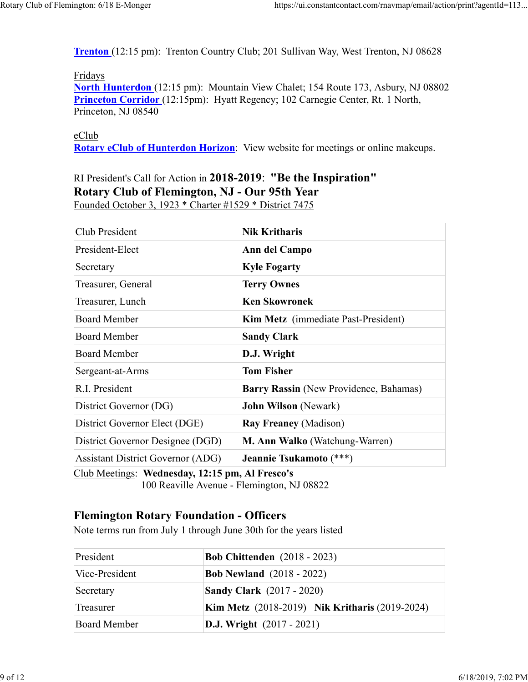**Trenton** (12:15 pm): Trenton Country Club; 201 Sullivan Way, West Trenton, NJ 08628

#### Fridays

**North Hunterdon** (12:15 pm): Mountain View Chalet; 154 Route 173, Asbury, NJ 08802 **Princeton Corridor** (12:15pm): Hyatt Regency; 102 Carnegie Center, Rt. 1 North, Princeton, NJ 08540

eClub **Rotary eClub of Hunterdon Horizon**: View website for meetings or online makeups.

## RI President's Call for Action in **2018-2019**: **"Be the Inspiration" Rotary Club of Flemington, NJ - Our 95th Year** Founded October 3, 1923 \* Charter #1529 \* District 7475

| Club President                           | <b>Nik Kritharis</b>                   |  |  |
|------------------------------------------|----------------------------------------|--|--|
| President-Elect                          | Ann del Campo                          |  |  |
| Secretary                                | <b>Kyle Fogarty</b>                    |  |  |
| Treasurer, General                       | <b>Terry Ownes</b>                     |  |  |
| Treasurer, Lunch                         | Ken Skowronek                          |  |  |
| <b>Board Member</b>                      | Kim Metz (immediate Past-President)    |  |  |
| <b>Board Member</b>                      | <b>Sandy Clark</b>                     |  |  |
| <b>Board Member</b>                      | D.J. Wright                            |  |  |
| Sergeant-at-Arms                         | <b>Tom Fisher</b>                      |  |  |
| R.I. President                           | Barry Rassin (New Providence, Bahamas) |  |  |
| District Governor (DG)                   | <b>John Wilson</b> (Newark)            |  |  |
| District Governor Elect (DGE)            | <b>Ray Freaney (Madison)</b>           |  |  |
| District Governor Designee (DGD)         | M. Ann Walko (Watchung-Warren)         |  |  |
| <b>Assistant District Governor (ADG)</b> | Jeannie Tsukamoto (***)                |  |  |

Club Meetings: **Wednesday, 12:15 pm, Al Fresco's** 100 Reaville Avenue - Flemington, NJ 08822

## **Flemington Rotary Foundation - Officers**

Note terms run from July 1 through June 30th for the years listed

| President           | <b>Bob Chittenden</b> (2018 - 2023)                   |  |
|---------------------|-------------------------------------------------------|--|
| Vice-President      | <b>Bob Newland</b> (2018 - 2022)                      |  |
| Secretary           | <b>Sandy Clark</b> (2017 - 2020)                      |  |
| Treasurer           | <b>Kim Metz</b> (2018-2019) Nik Kritharis (2019-2024) |  |
| <b>Board Member</b> | <b>D.J.</b> Wright $(2017 - 2021)$                    |  |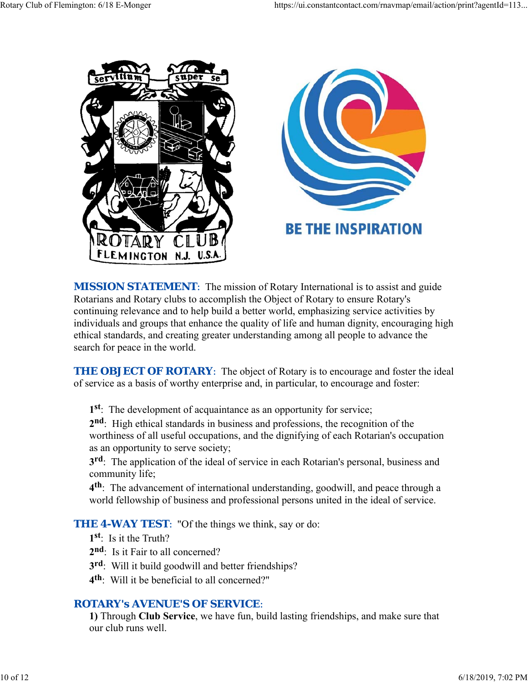

**MISSION STATEMENT:** The mission of Rotary International is to assist and guide Rotarians and Rotary clubs to accomplish the Object of Rotary to ensure Rotary's continuing relevance and to help build a better world, emphasizing service activities by individuals and groups that enhance the quality of life and human dignity, encouraging high ethical standards, and creating greater understanding among all people to advance the search for peace in the world.

**THE OBJECT OF ROTARY:** The object of Rotary is to encourage and foster the ideal of service as a basis of worthy enterprise and, in particular, to encourage and foster:

**1st**: The development of acquaintance as an opportunity for service;

**2nd**: High ethical standards in business and professions, the recognition of the worthiness of all useful occupations, and the dignifying of each Rotarian's occupation as an opportunity to serve society;

**3rd**: The application of the ideal of service in each Rotarian's personal, business and community life;

**4th**: The advancement of international understanding, goodwill, and peace through a world fellowship of business and professional persons united in the ideal of service.

**THE 4-WAY TEST:** "Of the things we think, say or do:

- **1st**: Is it the Truth?
- 2<sup>nd</sup>: Is it Fair to all concerned?
- **3rd**: Will it build goodwill and better friendships?
- **4th**: Will it be beneficial to all concerned?"

### *ROTARY's AVENUE'S OF SERVICE*:

**1)** Through **Club Service**, we have fun, build lasting friendships, and make sure that our club runs well.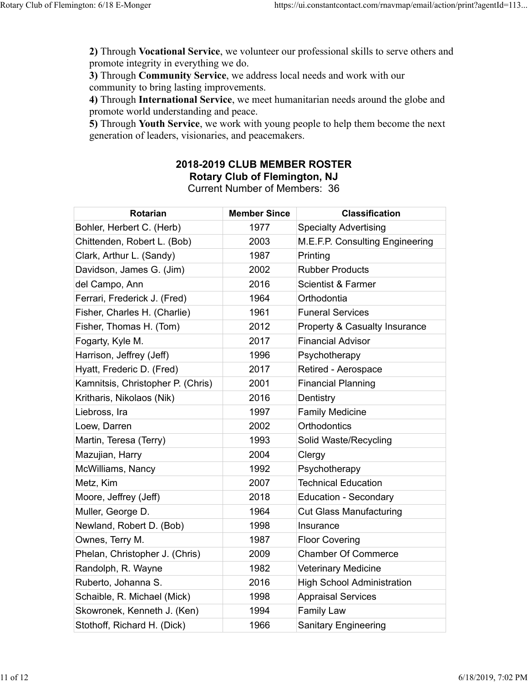**2)** Through **Vocational Service**, we volunteer our professional skills to serve others and promote integrity in everything we do.

**3)** Through **Community Service**, we address local needs and work with our community to bring lasting improvements.

**4)** Through **International Service**, we meet humanitarian needs around the globe and promote world understanding and peace.

**5)** Through **Youth Service**, we work with young people to help them become the next generation of leaders, visionaries, and peacemakers.

## **2018-2019 CLUB MEMBER ROSTER Rotary Club of Flemington, NJ**

Current Number of Members: 36

| <b>Rotarian</b>                   | <b>Member Since</b> | <b>Classification</b>             |
|-----------------------------------|---------------------|-----------------------------------|
| Bohler, Herbert C. (Herb)         | 1977                | <b>Specialty Advertising</b>      |
| Chittenden, Robert L. (Bob)       | 2003                | M.E.F.P. Consulting Engineering   |
| Clark, Arthur L. (Sandy)          | 1987                | Printing                          |
| Davidson, James G. (Jim)          | 2002                | <b>Rubber Products</b>            |
| del Campo, Ann                    | 2016                | <b>Scientist &amp; Farmer</b>     |
| Ferrari, Frederick J. (Fred)      | 1964                | Orthodontia                       |
| Fisher, Charles H. (Charlie)      | 1961                | <b>Funeral Services</b>           |
| Fisher, Thomas H. (Tom)           | 2012                | Property & Casualty Insurance     |
| Fogarty, Kyle M.                  | 2017                | <b>Financial Advisor</b>          |
| Harrison, Jeffrey (Jeff)          | 1996                | Psychotherapy                     |
| Hyatt, Frederic D. (Fred)         | 2017                | Retired - Aerospace               |
| Kamnitsis, Christopher P. (Chris) | 2001                | <b>Financial Planning</b>         |
| Kritharis, Nikolaos (Nik)         | 2016                | Dentistry                         |
| Liebross, Ira                     | 1997                | <b>Family Medicine</b>            |
| Loew, Darren                      | 2002                | Orthodontics                      |
| Martin, Teresa (Terry)            | 1993                | Solid Waste/Recycling             |
| Mazujian, Harry                   | 2004                | Clergy                            |
| McWilliams, Nancy                 | 1992                | Psychotherapy                     |
| Metz, Kim                         | 2007                | <b>Technical Education</b>        |
| Moore, Jeffrey (Jeff)             | 2018                | <b>Education - Secondary</b>      |
| Muller, George D.                 | 1964                | <b>Cut Glass Manufacturing</b>    |
| Newland, Robert D. (Bob)          | 1998                | Insurance                         |
| Ownes, Terry M.                   | 1987                | <b>Floor Covering</b>             |
| Phelan, Christopher J. (Chris)    | 2009                | <b>Chamber Of Commerce</b>        |
| Randolph, R. Wayne                | 1982                | <b>Veterinary Medicine</b>        |
| Ruberto, Johanna S.               | 2016                | <b>High School Administration</b> |
| Schaible, R. Michael (Mick)       | 1998                | <b>Appraisal Services</b>         |
| Skowronek, Kenneth J. (Ken)       | 1994                | <b>Family Law</b>                 |
| Stothoff, Richard H. (Dick)       | 1966                | <b>Sanitary Engineering</b>       |